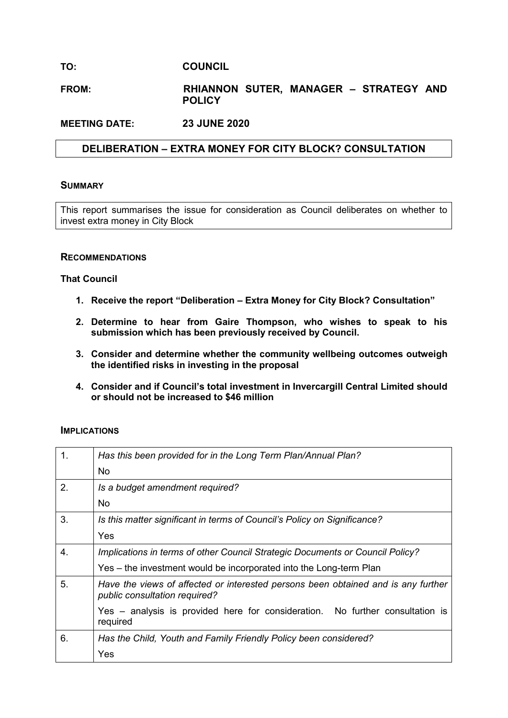# **TO: COUNCIL**

# **FROM: RHIANNON SUTER, MANAGER – STRATEGY AND POLICY**

**MEETING DATE: 23 JUNE 2020**

# **DELIBERATION – EXTRA MONEY FOR CITY BLOCK? CONSULTATION**

### **SUMMARY**

This report summarises the issue for consideration as Council deliberates on whether to invest extra money in City Block

### **RECOMMENDATIONS**

### **That Council**

- **1. Receive the report "Deliberation – Extra Money for City Block? Consultation"**
- **2. Determine to hear from Gaire Thompson, who wishes to speak to his submission which has been previously received by Council.**
- **3. Consider and determine whether the community wellbeing outcomes outweigh the identified risks in investing in the proposal**
- **4. Consider and if Council's total investment in Invercargill Central Limited should or should not be increased to \$46 million**

### **IMPLICATIONS**

| 1.               | Has this been provided for in the Long Term Plan/Annual Plan?                                                      |
|------------------|--------------------------------------------------------------------------------------------------------------------|
|                  | <b>No</b>                                                                                                          |
| 2.               | Is a budget amendment required?                                                                                    |
|                  | No.                                                                                                                |
| 3.               | Is this matter significant in terms of Council's Policy on Significance?                                           |
|                  | Yes                                                                                                                |
| $\overline{4}$ . | Implications in terms of other Council Strategic Documents or Council Policy?                                      |
|                  | Yes – the investment would be incorporated into the Long-term Plan                                                 |
| 5.               | Have the views of affected or interested persons been obtained and is any further<br>public consultation required? |
|                  | Yes – analysis is provided here for consideration. No further consultation is<br>required                          |
| 6.               | Has the Child, Youth and Family Friendly Policy been considered?                                                   |
|                  | Yes                                                                                                                |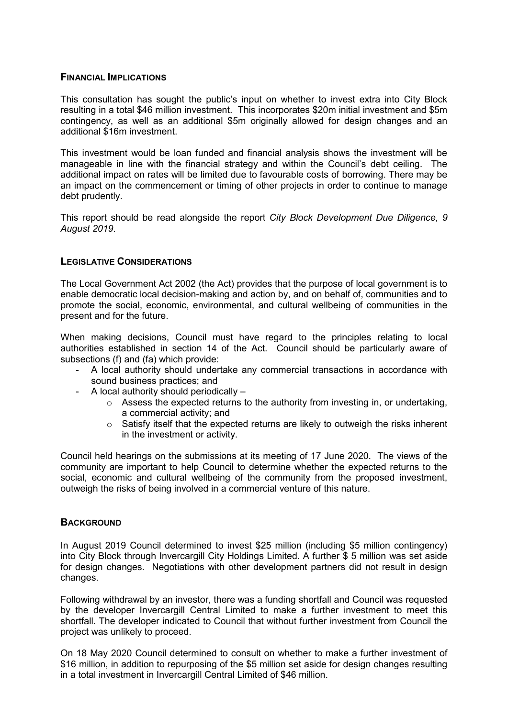### **FINANCIAL IMPLICATIONS**

This consultation has sought the public's input on whether to invest extra into City Block resulting in a total \$46 million investment. This incorporates \$20m initial investment and \$5m contingency, as well as an additional \$5m originally allowed for design changes and an additional \$16m investment.

This investment would be loan funded and financial analysis shows the investment will be manageable in line with the financial strategy and within the Council's debt ceiling. The additional impact on rates will be limited due to favourable costs of borrowing. There may be an impact on the commencement or timing of other projects in order to continue to manage debt prudently.

This report should be read alongside the report *City Block Development Due Diligence, 9 August 2019*.

# **LEGISLATIVE CONSIDERATIONS**

The Local Government Act 2002 (the Act) provides that the purpose of local government is to enable democratic local decision-making and action by, and on behalf of, communities and to promote the social, economic, environmental, and cultural wellbeing of communities in the present and for the future.

When making decisions, Council must have regard to the principles relating to local authorities established in section 14 of the Act. Council should be particularly aware of subsections (f) and (fa) which provide:

- A local authority should undertake any commercial transactions in accordance with sound business practices; and
- A local authority should periodically
	- $\circ$  Assess the expected returns to the authority from investing in, or undertaking, a commercial activity; and
	- o Satisfy itself that the expected returns are likely to outweigh the risks inherent in the investment or activity.

Council held hearings on the submissions at its meeting of 17 June 2020. The views of the community are important to help Council to determine whether the expected returns to the social, economic and cultural wellbeing of the community from the proposed investment, outweigh the risks of being involved in a commercial venture of this nature.

# **BACKGROUND**

In August 2019 Council determined to invest \$25 million (including \$5 million contingency) into City Block through Invercargill City Holdings Limited. A further \$ 5 million was set aside for design changes. Negotiations with other development partners did not result in design changes.

Following withdrawal by an investor, there was a funding shortfall and Council was requested by the developer Invercargill Central Limited to make a further investment to meet this shortfall. The developer indicated to Council that without further investment from Council the project was unlikely to proceed.

On 18 May 2020 Council determined to consult on whether to make a further investment of \$16 million, in addition to repurposing of the \$5 million set aside for design changes resulting in a total investment in Invercargill Central Limited of \$46 million.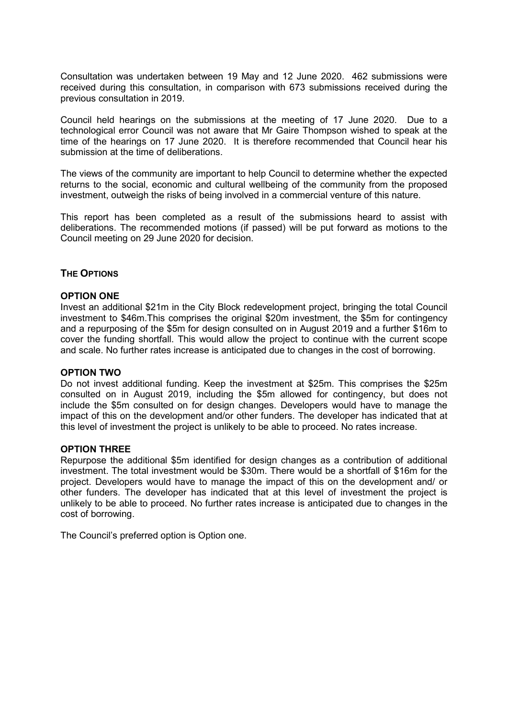Consultation was undertaken between 19 May and 12 June 2020. 462 submissions were received during this consultation, in comparison with 673 submissions received during the previous consultation in 2019.

Council held hearings on the submissions at the meeting of 17 June 2020. Due to a technological error Council was not aware that Mr Gaire Thompson wished to speak at the time of the hearings on 17 June 2020. It is therefore recommended that Council hear his submission at the time of deliberations.

The views of the community are important to help Council to determine whether the expected returns to the social, economic and cultural wellbeing of the community from the proposed investment, outweigh the risks of being involved in a commercial venture of this nature.

This report has been completed as a result of the submissions heard to assist with deliberations. The recommended motions (if passed) will be put forward as motions to the Council meeting on 29 June 2020 for decision.

### **THE OPTIONS**

### **OPTION ONE**

Invest an additional \$21m in the City Block redevelopment project, bringing the total Council investment to \$46m.This comprises the original \$20m investment, the \$5m for contingency and a repurposing of the \$5m for design consulted on in August 2019 and a further \$16m to cover the funding shortfall. This would allow the project to continue with the current scope and scale. No further rates increase is anticipated due to changes in the cost of borrowing.

### **OPTION TWO**

Do not invest additional funding. Keep the investment at \$25m. This comprises the \$25m consulted on in August 2019, including the \$5m allowed for contingency, but does not include the \$5m consulted on for design changes. Developers would have to manage the impact of this on the development and/or other funders. The developer has indicated that at this level of investment the project is unlikely to be able to proceed. No rates increase.

### **OPTION THREE**

Repurpose the additional \$5m identified for design changes as a contribution of additional investment. The total investment would be \$30m. There would be a shortfall of \$16m for the project. Developers would have to manage the impact of this on the development and/ or other funders. The developer has indicated that at this level of investment the project is unlikely to be able to proceed. No further rates increase is anticipated due to changes in the cost of borrowing.

The Council's preferred option is Option one.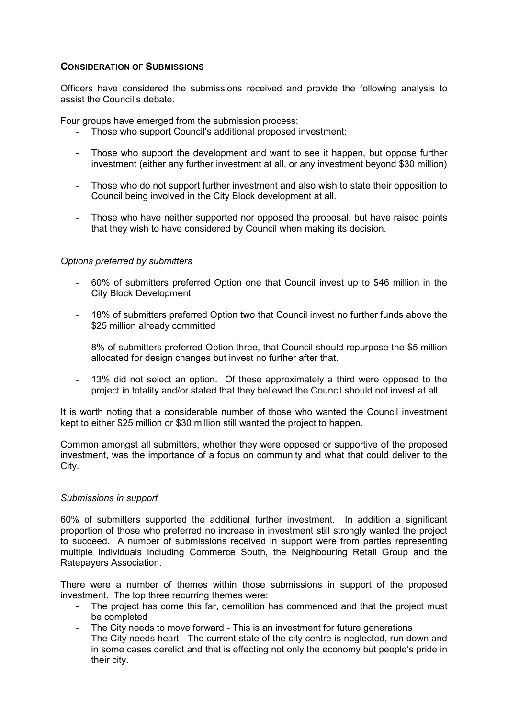# **CONSIDERATION OF SUBMISSIONS**

Officers have considered the submissions received and provide the following analysis to assist the Council's debate.

Four groups have emerged from the submission process:

- Those who support Council's additional proposed investment;
- Those who support the development and want to see it happen, but oppose further investment (either any further investment at all, or any investment beyond \$30 million)
- Those who do not support further investment and also wish to state their opposition to Council being involved in the City Block development at all.
- Those who have neither supported nor opposed the proposal, but have raised points that they wish to have considered by Council when making its decision.

# *Options preferred by submitters*

- 60% of submitters preferred Option one that Council invest up to \$46 million in the City Block Development
- 18% of submitters preferred Option two that Council invest no further funds above the \$25 million already committed
- 8% of submitters preferred Option three, that Council should repurpose the \$5 million allocated for design changes but invest no further after that.
- 13% did not select an option. Of these approximately a third were opposed to the project in totality and/or stated that they believed the Council should not invest at all.

It is worth noting that a considerable number of those who wanted the Council investment kept to either \$25 million or \$30 million still wanted the project to happen.

Common amongst all submitters, whether they were opposed or supportive of the proposed investment, was the importance of a focus on community and what that could deliver to the City.

# *Submissions in support*

60% of submitters supported the additional further investment. In addition a significant proportion of those who preferred no increase in investment still strongly wanted the project to succeed. A number of submissions received in support were from parties representing multiple individuals including Commerce South, the Neighbouring Retail Group and the Ratepayers Association.

There were a number of themes within those submissions in support of the proposed investment. The top three recurring themes were:

- The project has come this far, demolition has commenced and that the project must be completed
- The City needs to move forward This is an investment for future generations
- The City needs heart The current state of the city centre is neglected, run down and in some cases derelict and that is effecting not only the economy but people's pride in their city.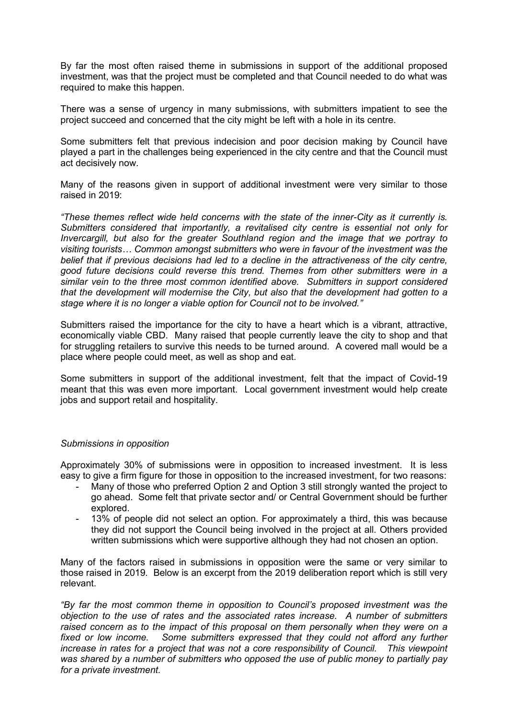By far the most often raised theme in submissions in support of the additional proposed investment, was that the project must be completed and that Council needed to do what was required to make this happen.

There was a sense of urgency in many submissions, with submitters impatient to see the project succeed and concerned that the city might be left with a hole in its centre.

Some submitters felt that previous indecision and poor decision making by Council have played a part in the challenges being experienced in the city centre and that the Council must act decisively now.

Many of the reasons given in support of additional investment were very similar to those raised in 2019:

*"These themes reflect wide held concerns with the state of the inner-City as it currently is. Submitters considered that importantly, a revitalised city centre is essential not only for Invercargill, but also for the greater Southland region and the image that we portray to visiting tourists… Common amongst submitters who were in favour of the investment was the belief that if previous decisions had led to a decline in the attractiveness of the city centre, good future decisions could reverse this trend. Themes from other submitters were in a similar vein to the three most common identified above. Submitters in support considered that the development will modernise the City, but also that the development had gotten to a stage where it is no longer a viable option for Council not to be involved."* 

Submitters raised the importance for the city to have a heart which is a vibrant, attractive, economically viable CBD. Many raised that people currently leave the city to shop and that for struggling retailers to survive this needs to be turned around. A covered mall would be a place where people could meet, as well as shop and eat.

Some submitters in support of the additional investment, felt that the impact of Covid-19 meant that this was even more important. Local government investment would help create jobs and support retail and hospitality.

### *Submissions in opposition*

Approximately 30% of submissions were in opposition to increased investment. It is less easy to give a firm figure for those in opposition to the increased investment, for two reasons:

- Many of those who preferred Option 2 and Option 3 still strongly wanted the project to go ahead. Some felt that private sector and/ or Central Government should be further explored.
- 13% of people did not select an option. For approximately a third, this was because they did not support the Council being involved in the project at all. Others provided written submissions which were supportive although they had not chosen an option.

Many of the factors raised in submissions in opposition were the same or very similar to those raised in 2019. Below is an excerpt from the 2019 deliberation report which is still very relevant.

*"By far the most common theme in opposition to Council's proposed investment was the objection to the use of rates and the associated rates increase. A number of submitters raised concern as to the impact of this proposal on them personally when they were on a*  fixed or low income. Some submitters expressed that they could not afford any further *increase in rates for a project that was not a core responsibility of Council. This viewpoint was shared by a number of submitters who opposed the use of public money to partially pay for a private investment.*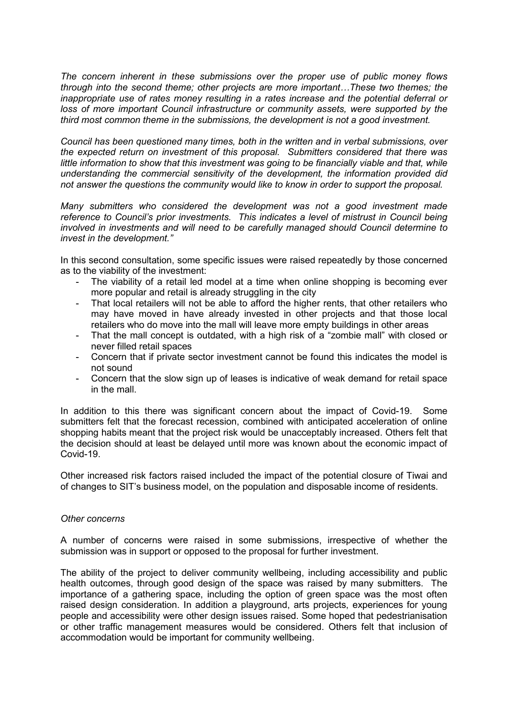*The concern inherent in these submissions over the proper use of public money flows through into the second theme; other projects are more important…These two themes; the inappropriate use of rates money resulting in a rates increase and the potential deferral or*  loss of more important Council infrastructure or community assets, were supported by the *third most common theme in the submissions, the development is not a good investment.* 

*Council has been questioned many times, both in the written and in verbal submissions, over the expected return on investment of this proposal. Submitters considered that there was*  little information to show that this investment was going to be financially viable and that, while *understanding the commercial sensitivity of the development, the information provided did not answer the questions the community would like to know in order to support the proposal.* 

*Many submitters who considered the development was not a good investment made reference to Council's prior investments. This indicates a level of mistrust in Council being involved in investments and will need to be carefully managed should Council determine to invest in the development."*

In this second consultation, some specific issues were raised repeatedly by those concerned as to the viability of the investment:

- The viability of a retail led model at a time when online shopping is becoming ever more popular and retail is already struggling in the city
- That local retailers will not be able to afford the higher rents, that other retailers who may have moved in have already invested in other projects and that those local retailers who do move into the mall will leave more empty buildings in other areas
- That the mall concept is outdated, with a high risk of a "zombie mall" with closed or never filled retail spaces
- Concern that if private sector investment cannot be found this indicates the model is not sound
- Concern that the slow sign up of leases is indicative of weak demand for retail space in the mall.

In addition to this there was significant concern about the impact of Covid-19. Some submitters felt that the forecast recession, combined with anticipated acceleration of online shopping habits meant that the project risk would be unacceptably increased. Others felt that the decision should at least be delayed until more was known about the economic impact of Covid-19.

Other increased risk factors raised included the impact of the potential closure of Tiwai and of changes to SIT's business model, on the population and disposable income of residents.

### *Other concerns*

A number of concerns were raised in some submissions, irrespective of whether the submission was in support or opposed to the proposal for further investment.

The ability of the project to deliver community wellbeing, including accessibility and public health outcomes, through good design of the space was raised by many submitters. The importance of a gathering space, including the option of green space was the most often raised design consideration. In addition a playground, arts projects, experiences for young people and accessibility were other design issues raised. Some hoped that pedestrianisation or other traffic management measures would be considered. Others felt that inclusion of accommodation would be important for community wellbeing.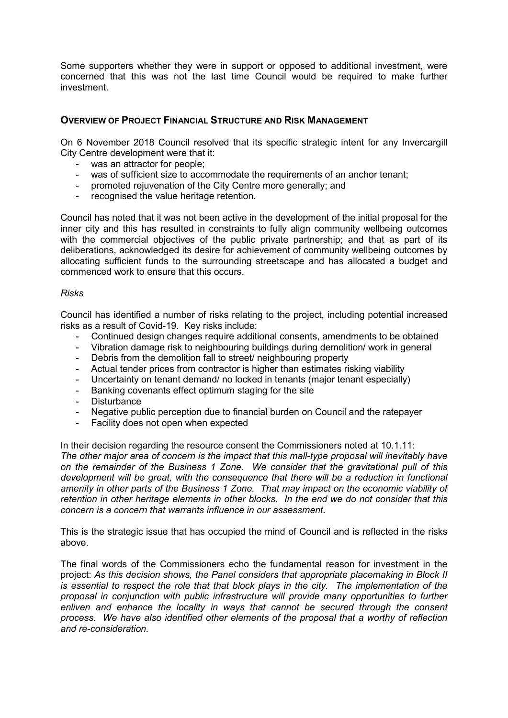Some supporters whether they were in support or opposed to additional investment, were concerned that this was not the last time Council would be required to make further investment.

# **OVERVIEW OF PROJECT FINANCIAL STRUCTURE AND RISK MANAGEMENT**

On 6 November 2018 Council resolved that its specific strategic intent for any Invercargill City Centre development were that it:

- was an attractor for people;
- was of sufficient size to accommodate the requirements of an anchor tenant;
- promoted rejuvenation of the City Centre more generally; and
- recognised the value heritage retention.

Council has noted that it was not been active in the development of the initial proposal for the inner city and this has resulted in constraints to fully align community wellbeing outcomes with the commercial objectives of the public private partnership; and that as part of its deliberations, acknowledged its desire for achievement of community wellbeing outcomes by allocating sufficient funds to the surrounding streetscape and has allocated a budget and commenced work to ensure that this occurs.

#### *Risks*

Council has identified a number of risks relating to the project, including potential increased risks as a result of Covid-19. Key risks include:

- Continued design changes require additional consents, amendments to be obtained
- Vibration damage risk to neighbouring buildings during demolition/ work in general
- Debris from the demolition fall to street/ neighbouring property
- Actual tender prices from contractor is higher than estimates risking viability
- Uncertainty on tenant demand/ no locked in tenants (major tenant especially)
- Banking covenants effect optimum staging for the site
- Disturbance
- Negative public perception due to financial burden on Council and the ratepayer
- Facility does not open when expected

In their decision regarding the resource consent the Commissioners noted at 10.1.11:

*The other major area of concern is the impact that this mall-type proposal will inevitably have on the remainder of the Business 1 Zone. We consider that the gravitational pull of this development will be great, with the consequence that there will be a reduction in functional amenity in other parts of the Business 1 Zone. That may impact on the economic viability of retention in other heritage elements in other blocks. In the end we do not consider that this concern is a concern that warrants influence in our assessment.* 

This is the strategic issue that has occupied the mind of Council and is reflected in the risks above.

The final words of the Commissioners echo the fundamental reason for investment in the project: *As this decision shows, the Panel considers that appropriate placemaking in Block II is essential to respect the role that that block plays in the city. The implementation of the proposal in conjunction with public infrastructure will provide many opportunities to further enliven and enhance the locality in ways that cannot be secured through the consent process. We have also identified other elements of the proposal that a worthy of reflection and re-consideration.*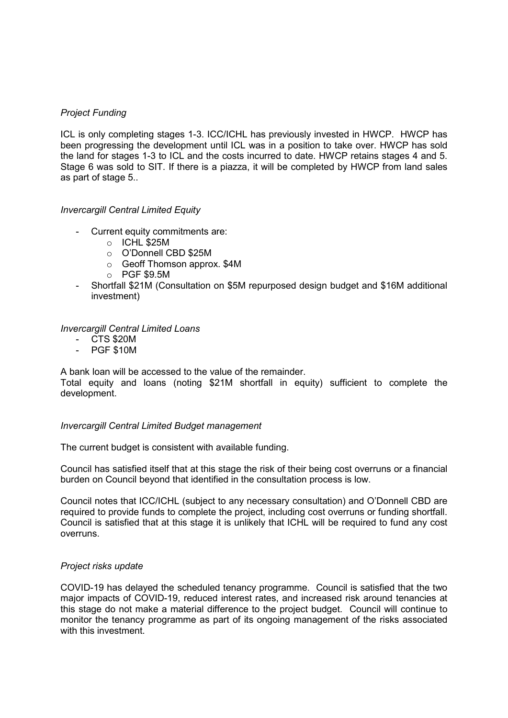# *Project Funding*

ICL is only completing stages 1-3. ICC/ICHL has previously invested in HWCP. HWCP has been progressing the development until ICL was in a position to take over. HWCP has sold the land for stages 1-3 to ICL and the costs incurred to date. HWCP retains stages 4 and 5. Stage 6 was sold to SIT. If there is a piazza, it will be completed by HWCP from land sales as part of stage 5..

### *Invercargill Central Limited Equity*

- Current equity commitments are:
	- o ICHL \$25M
	- o O'Donnell CBD \$25M
	- o Geoff Thomson approx. \$4M
	- o PGF \$9.5M
- Shortfall \$21M (Consultation on \$5M repurposed design budget and \$16M additional investment)

### *Invercargill Central Limited Loans*

- CTS \$20M
- PGF \$10M

A bank loan will be accessed to the value of the remainder.

Total equity and loans (noting \$21M shortfall in equity) sufficient to complete the development.

### *Invercargill Central Limited Budget management*

The current budget is consistent with available funding.

Council has satisfied itself that at this stage the risk of their being cost overruns or a financial burden on Council beyond that identified in the consultation process is low.

Council notes that ICC/ICHL (subject to any necessary consultation) and O'Donnell CBD are required to provide funds to complete the project, including cost overruns or funding shortfall. Council is satisfied that at this stage it is unlikely that ICHL will be required to fund any cost overruns.

### *Project risks update*

COVID-19 has delayed the scheduled tenancy programme. Council is satisfied that the two major impacts of COVID-19, reduced interest rates, and increased risk around tenancies at this stage do not make a material difference to the project budget. Council will continue to monitor the tenancy programme as part of its ongoing management of the risks associated with this investment.